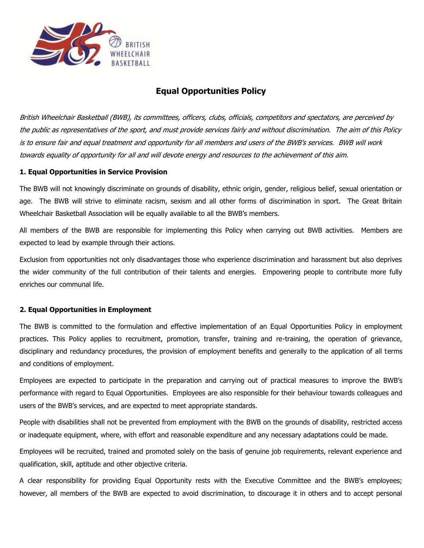

## **Equal Opportunities Policy**

British Wheelchair Basketball (BWB), its committees, officers, clubs, officials, competitors and spectators, are perceived by the public as representatives of the sport, and must provide services fairly and without discrimination. The aim of this Policy is to ensure fair and equal treatment and opportunity for all members and users of the BWB's services. BWB will work towards equality of opportunity for all and will devote energy and resources to the achievement of this aim.

## **1. Equal Opportunities in Service Provision**

The BWB will not knowingly discriminate on grounds of disability, ethnic origin, gender, religious belief, sexual orientation or age. The BWB will strive to eliminate racism, sexism and all other forms of discrimination in sport. The Great Britain Wheelchair Basketball Association will be equally available to all the BWB's members.

All members of the BWB are responsible for implementing this Policy when carrying out BWB activities. Members are expected to lead by example through their actions.

Exclusion from opportunities not only disadvantages those who experience discrimination and harassment but also deprives the wider community of the full contribution of their talents and energies. Empowering people to contribute more fully enriches our communal life.

## **2. Equal Opportunities in Employment**

The BWB is committed to the formulation and effective implementation of an Equal Opportunities Policy in employment practices. This Policy applies to recruitment, promotion, transfer, training and re-training, the operation of grievance, disciplinary and redundancy procedures, the provision of employment benefits and generally to the application of all terms and conditions of employment.

Employees are expected to participate in the preparation and carrying out of practical measures to improve the BWB's performance with regard to Equal Opportunities. Employees are also responsible for their behaviour towards colleagues and users of the BWB's services, and are expected to meet appropriate standards.

People with disabilities shall not be prevented from employment with the BWB on the grounds of disability, restricted access or inadequate equipment, where, with effort and reasonable expenditure and any necessary adaptations could be made.

Employees will be recruited, trained and promoted solely on the basis of genuine job requirements, relevant experience and qualification, skill, aptitude and other objective criteria.

A clear responsibility for providing Equal Opportunity rests with the Executive Committee and the BWB's employees; however, all members of the BWB are expected to avoid discrimination, to discourage it in others and to accept personal